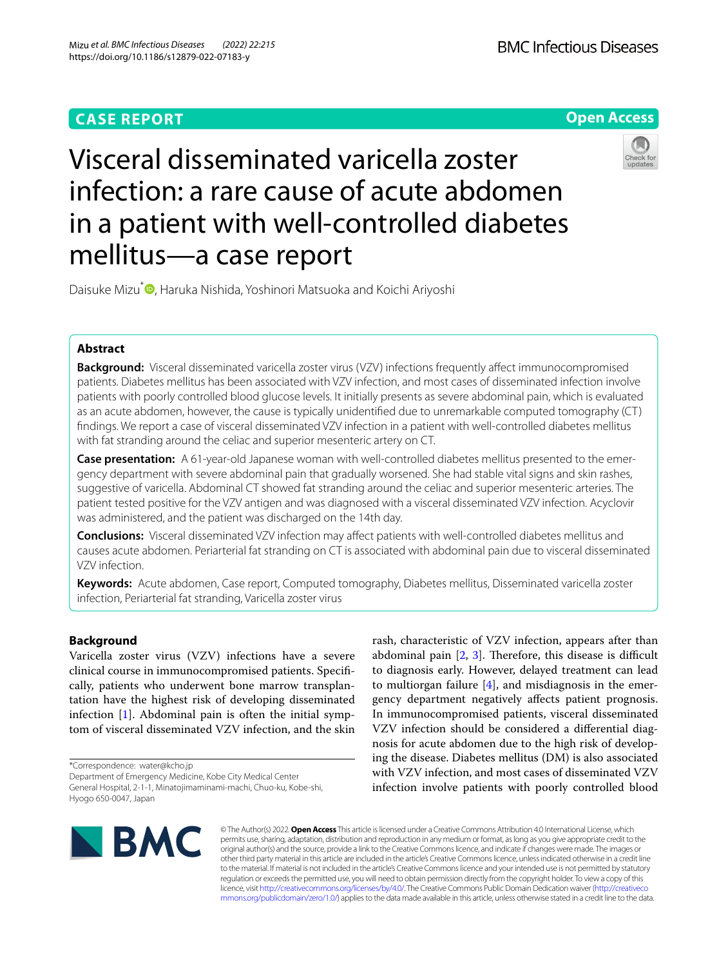## **CASE REPORT**





# Visceral disseminated varicella zoster infection: a rare cause of acute abdomen in a patient with well-controlled diabetes mellitus—a case report

Daisuke Mizu<sup>\*</sup> [,](http://orcid.org/0000-0002-0586-6159) Haruka Nishida, Yoshinori Matsuoka and Koichi Ariyoshi

## **Abstract**

**Background:** Visceral disseminated varicella zoster virus (VZV) infections frequently affect immunocompromised patients. Diabetes mellitus has been associated with VZV infection, and most cases of disseminated infection involve patients with poorly controlled blood glucose levels. It initially presents as severe abdominal pain, which is evaluated as an acute abdomen, however, the cause is typically unidentifed due to unremarkable computed tomography (CT) fndings. We report a case of visceral disseminated VZV infection in a patient with well-controlled diabetes mellitus with fat stranding around the celiac and superior mesenteric artery on CT.

**Case presentation:** A 61-year-old Japanese woman with well-controlled diabetes mellitus presented to the emergency department with severe abdominal pain that gradually worsened. She had stable vital signs and skin rashes, suggestive of varicella. Abdominal CT showed fat stranding around the celiac and superior mesenteric arteries. The patient tested positive for the VZV antigen and was diagnosed with a visceral disseminated VZV infection. Acyclovir was administered, and the patient was discharged on the 14th day.

**Conclusions:** Visceral disseminated VZV infection may afect patients with well-controlled diabetes mellitus and causes acute abdomen. Periarterial fat stranding on CT is associated with abdominal pain due to visceral disseminated VZV infection.

**Keywords:** Acute abdomen, Case report, Computed tomography, Diabetes mellitus, Disseminated varicella zoster infection, Periarterial fat stranding, Varicella zoster virus

## **Background**

Varicella zoster virus (VZV) infections have a severe clinical course in immunocompromised patients. Specifcally, patients who underwent bone marrow transplantation have the highest risk of developing disseminated infection  $[1]$  $[1]$ . Abdominal pain is often the initial symptom of visceral disseminated VZV infection, and the skin

\*Correspondence: water@kcho.jp

Department of Emergency Medicine, Kobe City Medical Center General Hospital, 2-1-1, Minatojimaminami-machi, Chuo-ku, Kobe-shi, Hyogo 650-0047, Japan

rash, characteristic of VZV infection, appears after than abdominal pain  $[2, 3]$  $[2, 3]$  $[2, 3]$ . Therefore, this disease is difficult to diagnosis early. However, delayed treatment can lead to multiorgan failure  $[4]$  $[4]$ , and misdiagnosis in the emergency department negatively afects patient prognosis. In immunocompromised patients, visceral disseminated VZV infection should be considered a diferential diagnosis for acute abdomen due to the high risk of developing the disease. Diabetes mellitus (DM) is also associated with VZV infection, and most cases of disseminated VZV infection involve patients with poorly controlled blood



© The Author(s) 2022. **Open Access** This article is licensed under a Creative Commons Attribution 4.0 International License, which permits use, sharing, adaptation, distribution and reproduction in any medium or format, as long as you give appropriate credit to the original author(s) and the source, provide a link to the Creative Commons licence, and indicate if changes were made. The images or other third party material in this article are included in the article's Creative Commons licence, unless indicated otherwise in a credit line to the material. If material is not included in the article's Creative Commons licence and your intended use is not permitted by statutory regulation or exceeds the permitted use, you will need to obtain permission directly from the copyright holder. To view a copy of this licence, visit [http://creativecommons.org/licenses/by/4.0/.](http://creativecommons.org/licenses/by/4.0/) The Creative Commons Public Domain Dedication waiver ([http://creativeco](http://creativecommons.org/publicdomain/zero/1.0/) [mmons.org/publicdomain/zero/1.0/](http://creativecommons.org/publicdomain/zero/1.0/)) applies to the data made available in this article, unless otherwise stated in a credit line to the data.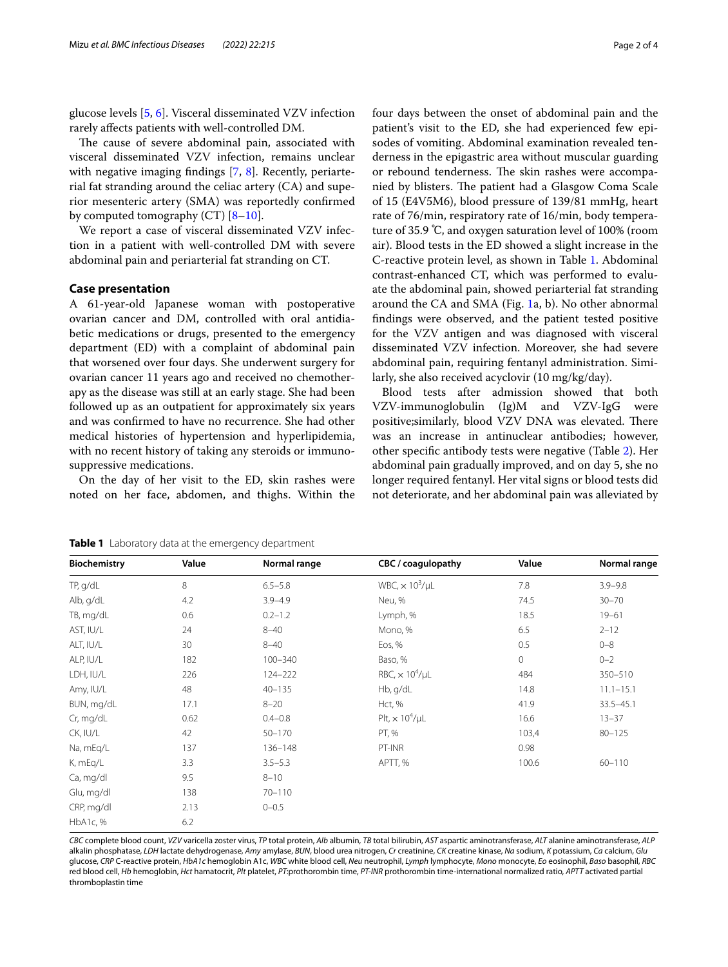glucose levels [[5,](#page-3-4) [6](#page-3-5)]. Visceral disseminated VZV infection rarely afects patients with well-controlled DM.

The cause of severe abdominal pain, associated with visceral disseminated VZV infection, remains unclear with negative imaging findings [[7,](#page-3-6) [8\]](#page-3-7). Recently, periarterial fat stranding around the celiac artery (CA) and superior mesenteric artery (SMA) was reportedly confrmed by computed tomography  $(CT)$   $[8-10]$  $[8-10]$ .

We report a case of visceral disseminated VZV infection in a patient with well-controlled DM with severe abdominal pain and periarterial fat stranding on CT.

#### **Case presentation**

A 61-year-old Japanese woman with postoperative ovarian cancer and DM, controlled with oral antidiabetic medications or drugs, presented to the emergency department (ED) with a complaint of abdominal pain that worsened over four days. She underwent surgery for ovarian cancer 11 years ago and received no chemotherapy as the disease was still at an early stage. She had been followed up as an outpatient for approximately six years and was confrmed to have no recurrence. She had other medical histories of hypertension and hyperlipidemia, with no recent history of taking any steroids or immunosuppressive medications.

On the day of her visit to the ED, skin rashes were noted on her face, abdomen, and thighs. Within the four days between the onset of abdominal pain and the patient's visit to the ED, she had experienced few episodes of vomiting. Abdominal examination revealed tenderness in the epigastric area without muscular guarding or rebound tenderness. The skin rashes were accompanied by blisters. The patient had a Glasgow Coma Scale of 15 (E4V5M6), blood pressure of 139/81 mmHg, heart rate of 76/min, respiratory rate of 16/min, body temperature of 35.9 ℃, and oxygen saturation level of 100% (room air). Blood tests in the ED showed a slight increase in the C-reactive protein level, as shown in Table [1.](#page-1-0) Abdominal contrast-enhanced CT, which was performed to evaluate the abdominal pain, showed periarterial fat stranding around the CA and SMA (Fig. [1a](#page-2-0), b). No other abnormal fndings were observed, and the patient tested positive for the VZV antigen and was diagnosed with visceral disseminated VZV infection. Moreover, she had severe abdominal pain, requiring fentanyl administration. Similarly, she also received acyclovir (10 mg/kg/day).

Blood tests after admission showed that both VZV-immunoglobulin (Ig)M and VZV-IgG were positive; similarly, blood VZV DNA was elevated. There was an increase in antinuclear antibodies; however, other specifc antibody tests were negative (Table [2\)](#page-2-1). Her abdominal pain gradually improved, and on day 5, she no longer required fentanyl. Her vital signs or blood tests did not deteriorate, and her abdominal pain was alleviated by

| <b>Biochemistry</b> | Value | Normal range | CBC / coagulopathy                | Value   | Normal range  |
|---------------------|-------|--------------|-----------------------------------|---------|---------------|
| TP, g/dL            | 8     | $6.5 - 5.8$  | WBC, $\times$ 10 <sup>3</sup> /µL | 7.8     | $3.9 - 9.8$   |
| Alb, g/dL           | 4.2   | $3.9 - 4.9$  | Neu, %                            | 74.5    | $30 - 70$     |
| TB, mg/dL           | 0.6   | $0.2 - 1.2$  | Lymph, %                          | 18.5    | $19 - 61$     |
| AST, IU/L           | 24    | $8 - 40$     | Mono, %                           | 6.5     | $2 - 12$      |
| ALT, IU/L           | 30    | $8 - 40$     | Eos, %                            | 0.5     | $0 - 8$       |
| ALP, IU/L           | 182   | $100 - 340$  | Baso, %                           | $\circ$ | $0 - 2$       |
| LDH, IU/L           | 226   | 124-222      | RBC, $\times$ 10 <sup>4</sup> /µL | 484     | 350-510       |
| Amy, IU/L           | 48    | $40 - 135$   | Hb, g/dL                          | 14.8    | $11.1 - 15.1$ |
| BUN, mg/dL          | 17.1  | $8 - 20$     | Hct, %                            | 41.9    | 33.5-45.1     |
| Cr, mg/dL           | 0.62  | $0.4 - 0.8$  | Plt, $\times$ 10 <sup>4</sup> /µL | 16.6    | $13 - 37$     |
| CK, IU/L            | 42    | 50-170       | PT, %                             | 103,4   | $80 - 125$    |
| Na, mEq/L           | 137   | 136-148      | PT-INR                            | 0.98    |               |
| K, mEq/L            | 3.3   | $3.5 - 5.3$  | APTT, %                           | 100.6   | $60 - 110$    |
| Ca, mg/dl           | 9.5   | $8 - 10$     |                                   |         |               |
| Glu, mg/dl          | 138   | $70 - 110$   |                                   |         |               |
| CRP, mg/dl          | 2.13  | $0 - 0.5$    |                                   |         |               |
| HbA1c, %            | 6.2   |              |                                   |         |               |

<span id="page-1-0"></span>**Table 1** Laboratory data at the emergency department

CBC complete blood count, VZV varicella zoster virus, TP total protein, Alb albumin, TB total bilirubin, AST aspartic aminotransferase, ALT alanine aminotransferase, ALT alkalin phosphatase, *LDH* lactate dehydrogenase, *Amy* amylase, *BUN*, blood urea nitrogen, *Cr* creatinine, *CK* creatine kinase, *Na* sodium, *K* potassium, *Ca* calcium, *Glu* glucose, *CRP* C-reactive protein, *HbA1c* hemoglobin A1c, *WBC* white blood cell, *Neu* neutrophil, *Lymph* lymphocyte, *Mono* monocyte, *Eo* eosinophil, *Baso* basophil, *RBC* red blood cell, *Hb* hemoglobin, *Hct* hamatocrit, *Plt* platelet, *PT*:prothorombin time, *PT-INR* prothorombin time-international normalized ratio, *APTT* activated partial thromboplastin time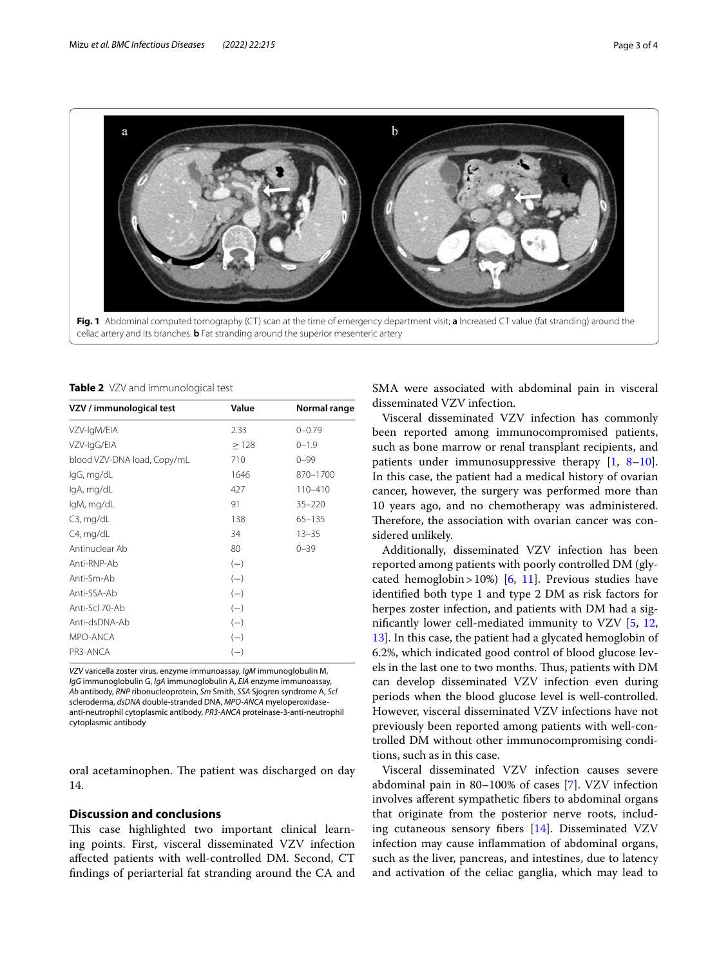

<span id="page-2-0"></span>celiac artery and its branches. **b** Fat stranding around the superior mesenteric artery

<span id="page-2-1"></span>**Table 2** VZV and immunological test

| VZV / immunological test    | Value | Normal range |
|-----------------------------|-------|--------------|
| VZV-IgM/EIA                 | 2.33  | $0 - 0.79$   |
| VZV-IgG/EIA                 | >128  | $0 - 1.9$    |
| blood VZV-DNA load, Copy/mL | 710   | $0 - 99$     |
| lgG, mg/dL                  | 1646  | 870-1700     |
| lgA, mg/dL                  | 427   | $110 - 410$  |
| IgM, mg/dL                  | 91    | $35 - 220$   |
| $C3$ , mg/dL                | 138   | $65 - 135$   |
| C4, mg/dL                   | 34    | $13 - 35$    |
| Antinuclear Ab              | 80    | $0 - 39$     |
| Anti-RNP-Ab                 | $(-)$ |              |
| Anti-Sm-Ab                  | $(-)$ |              |
| Anti-SSA-Ab                 | $(-)$ |              |
| Anti-Scl 70-Ab              | $(-)$ |              |
| Anti-dsDNA-Ab               | $(-)$ |              |
| MPO-ANCA                    | $(-)$ |              |
| PR3-ANCA                    | $(-)$ |              |

*VZV* varicella zoster virus, enzyme immunoassay, *IgM* immunoglobulin M, *IgG* immunoglobulin G, *IgA* immunoglobulin A, *EIA* enzyme immunoassay, *Ab* antibody, *RNP* ribonucleoprotein, *Sm* Smith, *SSA* Sjogren syndrome A, *Scl* scleroderma, *dsDNA* double-stranded DNA, *MPO-ANCA* myeloperoxidaseanti-neutrophil cytoplasmic antibody, *PR3-ANCA* proteinase-3-anti-neutrophil cytoplasmic antibody

oral acetaminophen. The patient was discharged on day 14.

## **Discussion and conclusions**

This case highlighted two important clinical learning points. First, visceral disseminated VZV infection afected patients with well-controlled DM. Second, CT fndings of periarterial fat stranding around the CA and SMA were associated with abdominal pain in visceral disseminated VZV infection.

Visceral disseminated VZV infection has commonly been reported among immunocompromised patients, such as bone marrow or renal transplant recipients, and patients under immunosuppressive therapy [[1,](#page-3-0) [8](#page-3-7)[–10](#page-3-8)]. In this case, the patient had a medical history of ovarian cancer, however, the surgery was performed more than 10 years ago, and no chemotherapy was administered. Therefore, the association with ovarian cancer was considered unlikely.

Additionally, disseminated VZV infection has been reported among patients with poorly controlled DM (gly-cated hemoglobin > 10%) [\[6](#page-3-5), [11\]](#page-3-9). Previous studies have identifed both type 1 and type 2 DM as risk factors for herpes zoster infection, and patients with DM had a signifcantly lower cell-mediated immunity to VZV [[5,](#page-3-4) [12](#page-3-10), [13\]](#page-3-11). In this case, the patient had a glycated hemoglobin of 6.2%, which indicated good control of blood glucose levels in the last one to two months. Thus, patients with DM can develop disseminated VZV infection even during periods when the blood glucose level is well-controlled. However, visceral disseminated VZV infections have not previously been reported among patients with well-controlled DM without other immunocompromising conditions, such as in this case.

Visceral disseminated VZV infection causes severe abdominal pain in 80–100% of cases [[7\]](#page-3-6). VZV infection involves aferent sympathetic fbers to abdominal organs that originate from the posterior nerve roots, including cutaneous sensory fbers [\[14](#page-3-12)]. Disseminated VZV infection may cause infammation of abdominal organs, such as the liver, pancreas, and intestines, due to latency and activation of the celiac ganglia, which may lead to